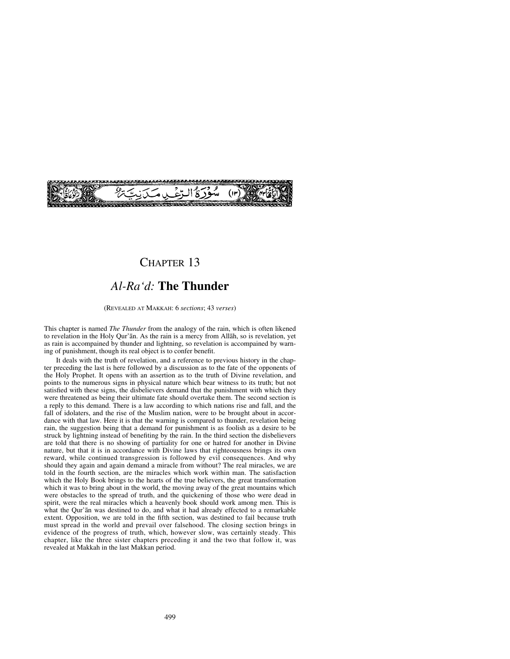

# CHAPTER 13

# *Al-Ra'd:* **The Thunder**

(REVEALED AT MAKKAH: 6 *sections*; 43 *verses*)

This chapter is named *The Thunder* from the analogy of the rain, which is often likened to revelation in the Holy Qur'ån. As the rain is a mercy from Allåh, so is revelation, yet as rain is accompained by thunder and lightning, so revelation is accompained by warning of punishment, though its real object is to confer benefit.

It deals with the truth of revelation, and a reference to previous history in the chapter preceding the last is here followed by a discussion as to the fate of the opponents of the Holy Prophet. It opens with an assertion as to the truth of Divine revelation, and points to the numerous signs in physical nature which bear witness to its truth; but not satisfied with these signs, the disbelievers demand that the punishment with which they were threatened as being their ultimate fate should overtake them. The second section is a reply to this demand. There is a law according to which nations rise and fall, and the fall of idolaters, and the rise of the Muslim nation, were to be brought about in accordance with that law. Here it is that the warning is compared to thunder, revelation being rain, the suggestion being that a demand for punishment is as foolish as a desire to be struck by lightning instead of benefiting by the rain. In the third section the disbelievers are told that there is no showing of partiality for one or hatred for another in Divine nature, but that it is in accordance with Divine laws that righteousness brings its own reward, while continued transgression is followed by evil consequences. And why should they again and again demand a miracle from without? The real miracles, we are told in the fourth section, are the miracles which work within man. The satisfaction which the Holy Book brings to the hearts of the true believers, the great transformation which it was to bring about in the world, the moving away of the great mountains which were obstacles to the spread of truth, and the quickening of those who were dead in spirit, were the real miracles which a heavenly book should work among men. This is what the Qur'ån was destined to do, and what it had already effected to a remarkable extent. Opposition, we are told in the fifth section, was destined to fail because truth must spread in the world and prevail over falsehood. The closing section brings in evidence of the progress of truth, which, however slow, was certainly steady. This chapter, like the three sister chapters preceding it and the two that follow it, was revealed at Makkah in the last Makkan period.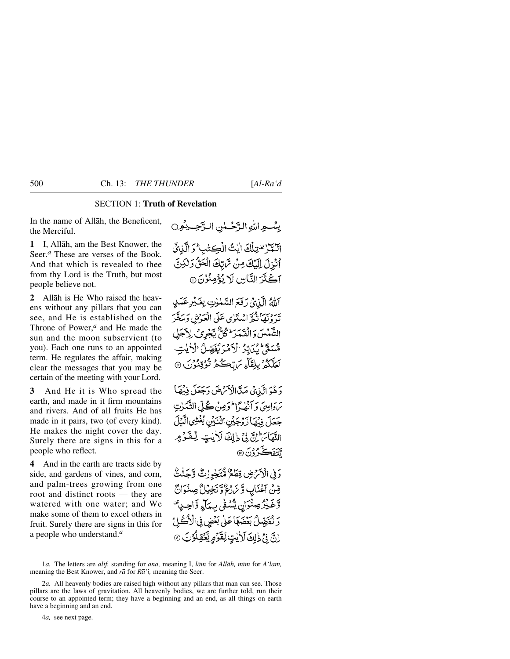## SECTION 1: **Truth of Revelation**

In the name of Allåh, the Beneficent, the Merciful.

**1** I, Allåh, am the Best Knower, the Seer.<sup>*a*</sup> These are verses of the Book. And that which is revealed to thee from thy Lord is the Truth, but most people believe not.

**2** Allåh is He Who raised the heavens without any pillars that you can see, and He is established on the Throne of Power,*<sup>a</sup>* and He made the sun and the moon subservient (to you). Each one runs to an appointed term. He regulates the affair, making clear the messages that you may be certain of the meeting with your Lord.

**3** And He it is Who spread the earth, and made in it firm mountains and rivers. And of all fruits He has made in it pairs, two (of every kind). He makes the night cover the day. Surely there are signs in this for a people who reflect.

**4** And in the earth are tracts side by side, and gardens of vines, and corn, and palm-trees growing from one root and distinct roots — they are watered with one water; and We make some of them to excel others in fruit. Surely there are signs in this for a people who understand.*<sup>a</sup>*

بِسْبِهِ اللَّهِ الدَّحْسُنِ الدَّحِسِينُورِ الكرسي الخاليث الكشائب التي أَنْزِلَ إِلَيْكَ مِنْ تَرَبِّكَ الْحَقُّ وَلَكِنَّ آڪُٽَرَ النَّاسِ لَا يُؤْمِنُوۡنَ ۞

آللَّهُ الَّذِيْ رَفَعَ السَّلْوٰتِ بِعَيْرِ عَمَلٍ يبروسنا نيح استكوى عكي اقعدش وسدقمر الشَّمْسَ وَالْقَمَدَ ۖ كُلٌّ يَّجْرِي لِاَجَلِ قْسَعَةً يُكَدِّرُ الْأَمْرَ يُفَصِّلُ الْأَيْتِ لَعَلَّكُمُّ بِبِلِقَاءِ مَ تِكْكُمُ تُؤْقِنُونَ ۞

وَهُوَ الَّذِي مَدَّ الْأَمْرَضَ وَجَعَلَ فِيُهَا سَوَابِييَ وَ آنَهُ أَطْوَمِينُ ݣُلِّ الثَّعَيْنِ جَعَلَ فِيهَا زَوْجَيْنِ اثْنَيْنِ يُغْشِي الَّيْلَ النَّهَاَمَ إِنَّ فِي ذٰلِكَ لَأَيْتٍ لِّعْفَوْمٍ يئ<del>ن</del>فڪرون6

رَنِي الْأَرْضِ وَظَعْ مُّتَجْرِرْتٌ وَّجَنّْتٌ قِنْ آغْنَابِ وَّنْ رُعُ وَّنَخِيْلٌ صِنْدَانٌ وَّغَيْرُصِنُوَانِ يَتَّنَفَىٰ بِبِيَاتٍ وَّاحِبِيَّ رَ نُفَضِّلُ بَعْضَهَا عَلَى بَعْضٍ فِى الْأَكْرَلِ اِنَّ فِي ذٰلِكَ لَأَيْتٍ لِّقَرَّمِ يَّعُفِّلُوْتَ @

<sup>1</sup>*a*. The letters are *alif,* standing for *ana*, meaning I, *lām* for *Allāh*, *mīm* for *A'lam*, meaning the Best Knower, and *rå* for *Rå'ß,* meaning the Seer.

<sup>2</sup>*a.* All heavenly bodies are raised high without any pillars that man can see. Those pillars are the laws of gravitation. All heavenly bodies, we are further told, run their course to an appointed term; they have a beginning and an end, as all things on earth have a beginning and an end.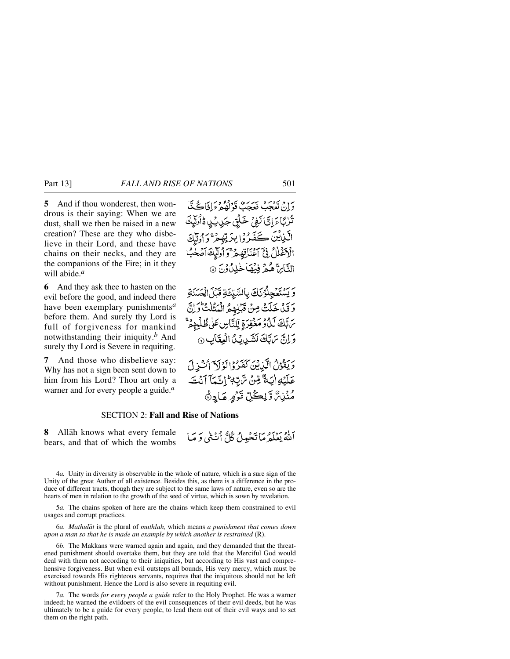**5** And if thou wonderest, then wondrous is their saying: When we are dust, shall we then be raised in a new creation? These are they who disbelieve in their Lord, and these have chains on their necks, and they are the companions of the Fire; in it they will abide.*<sup>a</sup>*

**6** And they ask thee to hasten on the evil before the good, and indeed there have been exemplary punishments*<sup>a</sup>* before them. And surely thy Lord is full of forgiveness for mankind notwithstanding their iniquity.*<sup>b</sup>* And surely thy Lord is Severe in requiting.

**7** And those who disbelieve say: Why has not a sign been sent down to him from his Lord? Thou art only a warner and for every people a guide.*<sup>a</sup>*

رن ديږدي بريري ورودو د اناڪيٽا تُزِيَّاءَ إِنَّا لَغِيْ خَلَقِ جَدِيبُ الْأَوْلَيْكَ الَّذِيْنَ ڪَفَدُوۡ(بِدَ بِّصۡمَرَ ۚ دَ ٱولَلۡكَ الْأَغْلَلُ فِيَ آَعْنَانِهِ مِرَّْوَ أُولَيْكَ آَصْعُ التَّائِنَّ هُمْ فِينِهَا خَلِدُّ وَنَ ۞

وَيَسْتَعْجِلُوْنَكَ بِالسَّبْئَةِ قَبْلَ الْحَسَنَةِ وَقَلْ خَلَتْ مِنْ قَبْلِهِمُ الْمَثْلَتُّ وَلِنَّ ىرَبَّكَ لَدَادٍ مَعْفِرَةِ لِّلنَّاسِ عَلَى ظُلْمِهِمْ وَإِنَّ مَرَّبَكَ لَشَيْدِيَّ الْعِقَابِ ۞

وَيَقْوُلُ الَّذِينَ كَفَرُوْا لَوْلَاَ اُسْؤِلَ عَلَيْهِ إِيَهٌ مِّنْ تَرَبِّهِ إِنَّمَا آَنْتَ مُنۡزِينٌ وَّلِڪُلِّ قَوۡمٍ مَادٍىَّ

### SECTION 2: **Fall and Rise of Nations**

**8** Allåh knows what every female bears, and that of which the wombs أَللَّهُ يَعْلَمُ مَا تَحْمِيلُ كُلُّ أَنْ تَبِي وَ مَبَا

5*a.* The chains spoken of here are the chains which keep them constrained to evil usages and corrupt practices.

6*a. Mathulåt* is the plural of *muthlah,* which means *a punishment that comes down upon a man so that he is made an example by which another is restrained* (R).

6*b.* The Makkans were warned again and again, and they demanded that the threatened punishment should overtake them, but they are told that the Merciful God would deal with them not according to their iniquities, but according to His vast and comprehensive forgiveness. But when evil outsteps all bounds, His very mercy, which must be exercised towards His righteous servants, requires that the iniquitous should not be left without punishment. Hence the Lord is also severe in requiting evil.

<sup>4</sup>*a.* Unity in diversity is observable in the whole of nature, which is a sure sign of the Unity of the great Author of all existence. Besides this, as there is a difference in the produce of different tracts, though they are subject to the same laws of nature, even so are the hearts of men in relation to the growth of the seed of virtue, which is sown by revelation.

<sup>7</sup>*a.* The words *for every people a guide* refer to the Holy Prophet. He was a warner indeed; he warned the evildoers of the evil consequences of their evil deeds, but he was ultimately to be a guide for every people, to lead them out of their evil ways and to set them on the right path.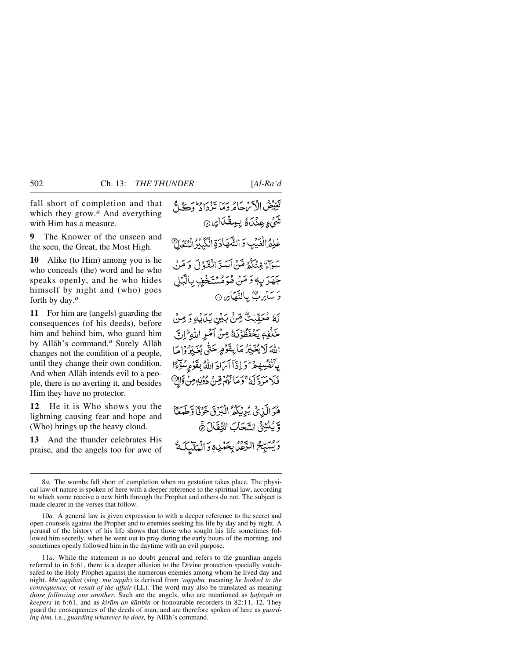fall short of completion and that which they grow.*<sup>a</sup>* And everything with Him has a measure.

**9** The Knower of the unseen and the seen, the Great, the Most High.

**10** Alike (to Him) among you is he who conceals (the) word and he who speaks openly, and he who hides himself by night and (who) goes forth by day.*<sup>a</sup>*

**11** For him are (angels) guarding the consequences (of his deeds), before him and behind him, who guard him by Allåh's command.*<sup>a</sup>* Surely Allåh changes not the condition of a people, until they change their own condition. And when Allåh intends evil to a people, there is no averting it, and besides Him they have no protector.

**12** He it is Who shows you the lightning causing fear and hope and (Who) brings up the heavy cloud.

**13** And the thunder celebrates His praise, and the angels too for awe of

تَغِيْضُ الْأَمْ يَحَامُرُ وَمَا تَزْدَادُ وَكَيْ لَحْ شَيْءٍ عِنْدَاهُ بِبِعِقْدَارِ، @ عْلِمُ الْغَيْبِ وَ الشَّهَادَةِ الْكَبِيْرُ الْمُتَعَالِ سَوَآءٌ مِّنْنَكُمْ مَّنْ أَيَبَدَّ الْفَدْلَ وَ مَنْ جَهَدَ بِهٖ وَ مَنْ هُوَهُسْتَخْفِ بِٱلَّٰيۡلِ وَ سَأَيِّ سِنَ بِبِأَلَيْهَا مِن ۞ لَهُ مُعَقَّبْتُ مِّنْ بَيْنِ بَدَلْهِ وَ مِنْ خَلْفِهٖ يَحْفَظُوْنَهُ مِنْ آمْرِ اللَّهِ ۚ إِنَّ اللَّهَ لَا يُغَيِّيْرُ مَا بِقَوْمٍ حَتَّى يُغَيِّرُوْامَا بِٱنْفُسِهِ مِرْ وَ إِذَآ آيَٰ إِذَاللَّهُ بِقَوْمِ سُوِّءًا فَلَا مَرَدَّ لَهُ ۚ وَمَا لَهُمۡ مِّنۡ دُوۡنِهٖ مِنۡ وَّالِ ۖ هُوَ الَّذِي يُرِيْكُمُ الْبَرْقَ خَوْقًا وَّطَعَةً } وَّ يُنۡتِئُ السَّحَابَ الثِّفَالَ ۞ وَيُسَيِّحُ الرَّعْلَى بِحَمْدِهِ وَالْمَلَيْكَةُ

11*a.* While the statement is no doubt general and refers to the guardian angels referred to in 6:61, there is a deeper allusion to the Divine protection specially vouchsafed to the Holy Prophet against the numerous enemies among whom he lived day and night. *Mu'aqqibåt* (sing. *mu'aqqib*) is derived from *'aqqaba,* meaning *he looked to the consequence,* or *result of the affair* (LL). The word may also be translated as meaning *those following one another.* Such are the angels, who are mentioned as *hafazah* or *keepers* in 6:61, and as *kiråm-an kåtibßn* or honourable recorders in 82:11, 12. They guard the consequences of the deeds of man, and are therefore spoken of here as *guarding him,* i.e., *guarding whatever he does,* by Allåh's command.

<sup>8</sup>*a.* The wombs fall short of completion when no gestation takes place. The physical law of nature is spoken of here with a deeper reference to the spiritual law, according to which some receive a new birth through the Prophet and others do not. The subject is made clearer in the verses that follow.

<sup>10</sup>*a.* A general law is given expression to with a deeper reference to the secret and open counsels against the Prophet and to enemies seeking his life by day and by night. A perusal of the history of his life shows that those who sought his life sometimes followed him secretly, when he went out to pray during the early hours of the morning, and sometimes openly followed him in the daytime with an evil purpose.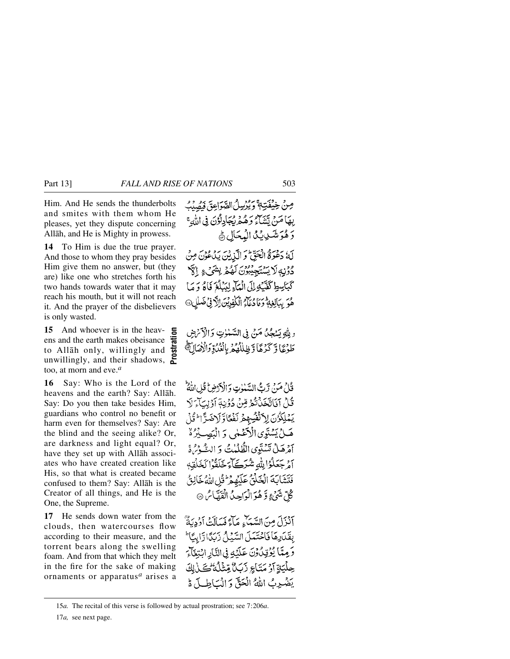Him. And He sends the thunderbolts and smites with them whom He pleases, yet they dispute concerning Allåh, and He is Mighty in prowess.

**14** To Him is due the true prayer. And those to whom they pray besides Him give them no answer, but (they are) like one who stretches forth his two hands towards water that it may reach his mouth, but it will not reach it. And the prayer of the disbelievers is only wasted.

**15** And whoever is in the heavens and the earth makes obeisance to Allåh only, willingly and unwillingly, and their shadows, too, at morn and eve.*<sup>a</sup>* **Prostration**

**16** Say: Who is the Lord of the heavens and the earth? Say: Allåh. Say: Do you then take besides Him, guardians who control no benefit or harm even for themselves? Say: Are the blind and the seeing alike? Or, are darkness and light equal? Or, have they set up with Allåh associates who have created creation like His, so that what is created became confused to them? Say: Allåh is the Creator of all things, and He is the One, the Supreme.

**17** He sends down water from the clouds, then watercourses flow according to their measure, and the torrent bears along the swelling foam. And from that which they melt in the fire for the sake of making ornaments or apparatus*<sup>a</sup>* arises a صِنْ خِيْفَتِهِ ۚ دِيُرْسِلُ الصَّوَاعِقَ فَصُدْبُ بِهَا مَنْ يَتَنَاءُ وَهُمْرِيُجَادِلُوۡنَ فِي اللَّهِ ۚ دَهُوَ تَنَبِي بِيَنَ الْمُحَالِ ﴾ لَهُ دَعْوَةٌ الْحَقِّ وَ الَّذِينَ يَدُعُوْنَ مِنْ

دُوْنِهِ لَا يَسْتَجِيبُونَ لَمُهُمْ بِشَيْءٍ إِلَيْهِ كَبَاسِطِ كَفَّيْهِ إِلَى الْعَالِّهِ لِيَبْلُغَ فَاءُ وَ مَا هُوَ سَالِعَةً وَمَا دُعَآءُ الْكَفِدِينَ الرَّ فِي ضَلَاحِ ﴾

وِ بِلَّهِ بَسْجُكٌ مَنْ فِي السَّلْمَٰوِتِ وَالْأَنْرَضِ طَوْعًا وَ كَرْهًا وَظِلْلُهُمُ بِالْعُدُوِّ وَالْأَصَالَ،

قُدْحُ مَنْ تَرِبُّ السَّلْوٰتِ وَالْأَدْضِ قُلِ اللَّهُ ۖ ثَلُ آنَاتَّخَذُنْدُومِّنَ دُوۡنِهٖٓ آوۡلِيَآءَ لَا بَمْلِكُوُنَ لِاَنْفُسُهِمْ نَفْعًاوِّ لِاخْتِرَّا وَ ثَلْ هَـلُ يَسْتَوِي الْأَعْمَلُ , وَ الْيَصِبْرُهُ ۚ آمْرِهَـلْ تَسْتَوِي الظُّلُمْيِتُ وَ الشَّوْسُ هُ أَمْرِ جَعَلُوۡۤۢالِلَّٰٰٓٓةِ شُرَكَيۡاَءِ خَلَقُوۡا لَحَلۡقِهٖ فَتَشَابَهَ الْخَلْقُ عَلَيْهِمْ ثَلْ اللَّهُ خَالِقُ كُلِّ شَيْءٍ وَّهُوَ الْوَاحِدُ الْقَهَّاسُ ®

آنْزَلَ مِنَ السَّيَاءِ مَاءً فَسَالَتْ أَدُدِيَةٌ بِفَكَارِهَا فَاحْتَمَلَ السَّيْلُ زَبَدًا رَّابِيَّا ۚ وَحِيًّا يُؤْتِلُونَ عَلَيْهِ فِي النَّارِ ابْتِغَاءَ حِلْيَةِ آَوْ مَتَاجِ زَبَلٌ مِّتْلُدُّكْتَ فِّ يَضْرِبُ اللَّهُ الْحَقِّ وَالْسَاطِيلَ ةَ

<sup>15</sup>*a.* The recital of this verse is followed by actual prostration; see 7:206*a*.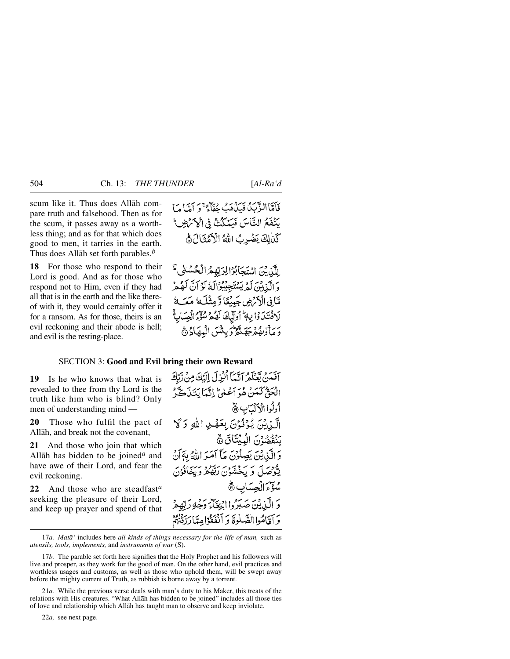scum like it. Thus does Allåh compare truth and falsehood. Then as for the scum, it passes away as a worthless thing; and as for that which does good to men, it tarries in the earth. Thus does Allåh set forth parables.*<sup>b</sup>*

**18** For those who respond to their Lord is good. And as for those who respond not to Him, even if they had all that is in the earth and the like thereof with it, they would certainly offer it for a ransom. As for those, theirs is an evil reckoning and their abode is hell; and evil is the resting-place.

# فَأَمَّاالزَّيْبُ فَيَذَهَبُ مُفَاَّءٌ وَ أَمَّا مَا يَنْفَعُ النَّاسَ فَيَمْكُنْ فِي الْأَكْرَضِ ۖ كَنْ لِكَ يَضْرِبُ اللهُ الْأَهُنَّالَ هَ

رِللَّذِيْنَ اسْتَجَابُوْالِرَبِّهِمُ الْحُسُنِيَّ دَ الَّيْنِ بِيَ أَمِرِيسْتَجِيبُوْالَّهُ لَوْ أَنَّ لَهُ هِرْ مَّانِي الْآرَضِ جَبِيْبِكَا وَّمِثْلَهُ مَعَبَةُ لَافْتَيْدَوْا بِهِ أُولَيْكَ لَهُمْ مُؤْمُّ الْجِسَابِةُ رَمِ أَرْبِهُمْ جَهَنَّهُ وَيِئْسَ الْبِهَادُ ﴾

## SECTION 3: **Good and Evil bring their own Reward**

**19** Is he who knows that what is revealed to thee from thy Lord is the truth like him who is blind? Only men of understanding mind —

**20** Those who fulfil the pact of Allåh, and break not the covenant,

**21** And those who join that which Allåh has bidden to be joined*<sup>a</sup>* and have awe of their Lord, and fear the evil reckoning.

**22** And those who are steadfast*<sup>a</sup>* seeking the pleasure of their Lord, and keep up prayer and spend of that آفَدَهُ يَعْلَمُ آنَّمَآ أَنْزِلَ إِلَيْكَ مِنْ رَّبَّكَ الْحَقُّ كَمَنْ هُوَ أَعْلَىٰ إِنَّمَا يَتَذَكَّرُ أولُوا الْأَلْمَابِ ٢ الَّيْدِيْهَ، يُوْفُوْنَ بِعَصْدِ اللهِ وَكَلّ يَنْقُضُونَ الْمِيْتَاقَ۞ وَ الَّذِيْنَ يَصِلُوْنَ مَآ آمَيَهِ اللَّهُ بِهَآنَ يَّعْجِمَدَ كَمْ يَسْتَعِيْرُ مِنْ يَقْفُرُ وَيَخَافُوْنَ سُؤْءَ الْجِسَابِ ۞ وَ الَّيْذِيْنَ صَدَرُوا انْتِغَاْءَ وَجُهُ رَبَّهُ هُ وَ آقَامُوا الصَّلُوةَ وَ آنْفَقُوْامِدًا رَزِّقْهُمْ

17*a. Matå'* includes here *all kinds of things necessary for the life of man,* such as *utensils, tools, implements,* and *instruments of war* (S).

<sup>17</sup>*b.* The parable set forth here signifies that the Holy Prophet and his followers will live and prosper, as they work for the good of man. On the other hand, evil practices and worthless usages and customs, as well as those who uphold them, will be swept away before the mighty current of Truth, as rubbish is borne away by a torrent.

<sup>21</sup>*a.* While the previous verse deals with man's duty to his Maker, this treats of the relations with His creatures. "What Allåh has bidden to be joined" includes all those ties of love and relationship which Allåh has taught man to observe and keep inviolate.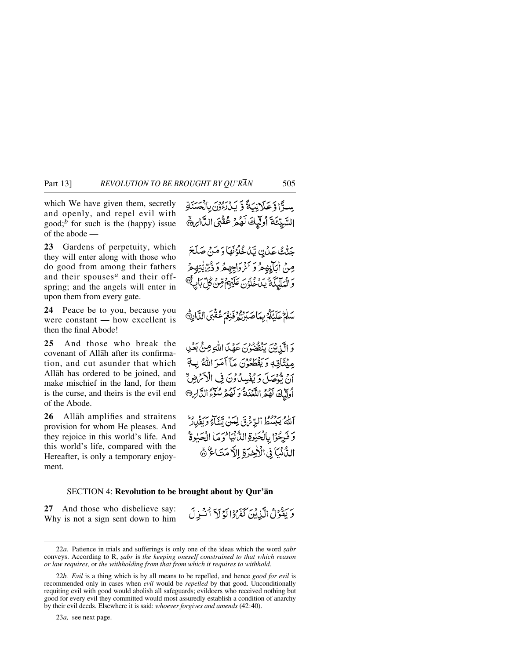which We have given them, secretly and openly, and repel evil with good;<sup>*b*</sup> for such is the (happy) issue of the abode —

**23** Gardens of perpetuity, which they will enter along with those who do good from among their fathers and their spouses*<sup>a</sup>* and their offspring; and the angels will enter in upon them from every gate.

**24** Peace be to you, because you were constant — how excellent is then the final Abode!

**25** And those who break the covenant of Allåh after its confirmation, and cut asunder that which Allåh has ordered to be joined, and make mischief in the land, for them is the curse, and theirs is the evil end of the Abode.

**26** Allåh amplifies and straitens provision for whom He pleases. And they rejoice in this world's life. And this world's life, compared with the Hereafter, is only a temporary enjoyment.

جَنّْتُ عَدْنِ يَبْدُخُلُوْنَهَا وَ مَنْ صَلَحَ مِنْ اٰبَاْبِهِمْ وَ ٱنْرَدَاجِهِمْ وَذْيِّ يَٰتِهِمْ وَالْمَلَيْكَةُ يَدْعُوُنَ عَلَيْهِمْ قِنْ كُلِّ بَأْ سَلَمْ عَلَيْكُمْ بِمَاصَبَرْتُوْفِرْ يَهْمَ عُقْبَى الدَّارِةَ وَ الَّذِينَ يَنْقَضُوْنَ عَهْدَ اللَّهِ مِنْ بَعْدٍ مِينَتَاتِهِ وَيَقْطَعُونَ مَآ أَمَرَ اللَّهُ بِ7َ أَنْ تَوْصَلَ وَ يُفْسِدُ وْنَ فِي الْأَسْرِضِ ۚ أوليكَ لَهُمُ اللَّعْنَةُ وَلَهُمْ سُنْءُ الدَّابِرِ®

سوًّا وَعَلَانِيَةً وَّ يَدْرُدُونَ بِالْعَسَنَةِ السَّيِّئَةَ أُولَّيكَ لَهُمْ عُقْبَى الدَّارِيُّ

اَللَّهُ يَبْسُطُ الرِّتْرَنِّيِّ لِعَنْ يِّشَاءٍ وَبَقْدِرُ ۚ وَفَرِحُوْا بِالْحَيْدِةِ اللَّهُ نِيَا تَوَمَا الْحَبْوةُ الدُّنْبَا فِي الْأَخِيرَةِ الْأَمْتَاعُ ۖ هَ

وَيَقُوْلُ الَّذِينَ كَفَرُوْا لَوْلَاَ أَنْتَذِلَ

### SECTION 4: **Revolution to be brought about by Qur'ån**

**27** And those who disbelieve say: Why is not a sign sent down to him

<sup>22</sup>a. Patience in trials and sufferings is only one of the ideas which the word *sabr* conveys. According to R, *sabr* is *the keeping oneself constrained to that which reason or law requires,* or *the withholding from that from which it requires to withhold*.

<sup>22</sup>*b. Evil* is a thing which is by all means to be repelled, and hence *good for evil* is recommended only in cases when *evil* would be *repelled* by that good. Unconditionally requiting evil with good would abolish all safeguards; evildoers who received nothing but good for every evil they committed would most assuredly establish a condition of anarchy by their evil deeds. Elsewhere it is said: *whoever forgives and amends* (42:40).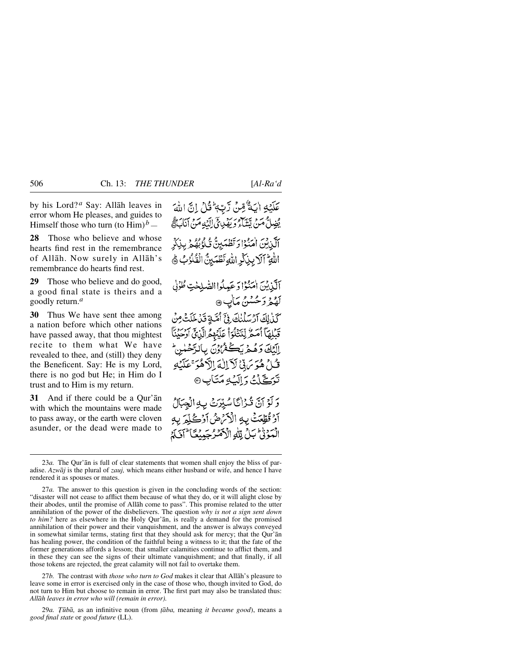by his Lord? *<sup>a</sup>* Say: Allåh leaves in error whom He pleases, and guides to Himself those who turn (to  $\text{Him}$ )<sup> $b$ </sup> —

**28** Those who believe and whose hearts find rest in the remembrance of Allåh. Now surely in Allåh's remembrance do hearts find rest.

**29** Those who believe and do good, a good final state is theirs and a goodly return.*<sup>a</sup>*

**30** Thus We have sent thee among a nation before which other nations have passed away, that thou mightest recite to them what We have revealed to thee, and (still) they deny the Beneficent. Say: He is my Lord, there is no god but He; in Him do I trust and to Him is my return.

**31** And if there could be a Qur'ån with which the mountains were made to pass away, or the earth were cloven asunder, or the dead were made to

عَلَيْهِ الْبَةُ قِينَ رَّبِّهِ ثَلْ إِنَّ اللَّهَ يُضِلُّ مَنْ تِسَبِّيْءَ رَبِّي إِلَيْهِ مَنْ آنَاكَ قُرْبِي إِيَّا الْمَشَيّ أَلَّذِيْنَ اٰمَنُوْاْ وَتَطْمَيِنُّ ثَٰلُوۡبُهُمۡ بِذِكِرِّ اللَّهِ ۚ آلَا بِذِكْرِ اللَّهِ تَطْهَيْنَ الْقُلُوُبُ ﴾ اَلَّذِينَ اٰمَنُوْا دَعَيِدُواالصَّلِحْتِ طُوُلِ لَهُمْرُ دَحُسْنُ مَأْبٍ ۞ كَذَالِكَ آرْسَلْنِكَ فِيَّ أَصَّةِ قَدْ خَلَتْ مِنْ قَبْلِهَآ أُمَمُّ لِّنَتِّلُوٓا۟ عَلَيۡهِمُ الَّذِيۡ آَدَ ۖ وَلَا الككَ وَهُمْرِ بَكَـٰهُ ُوۡنَ بِالرَّحۡلِنِ ۖ قُبْلُ هُوَ يَرِيْنَ لَأَلَالُهَ الْأَهْوَ عَلَيْهِ تَوَكَّلْتُ دَالَبُهُ مَتَأْبِ© وَلَوْ آنَّ قُرْانًا سُيِّرَتْ بِهِ الْجِبَالُ آوْ تُطِّعَتْ بِهِ الْأَمْرَضُ آوْكُلِّعَ بِهِ الْمَوْنَىٰ بَلْ لِلَّهِ الْأَصْرُجَيِيْعًا َالْمَاتِي

27*b.* The contrast with *those who turn to God* makes it clear that Allåh's pleasure to leave some in error is exercised only in the case of those who, though invited to God, do not turn to Him but choose to remain in error. The first part may also be translated thus: *Allåh leaves in error who will (remain in error).*

29*a. Ô∂bå,* as an infinitive noun (from *ƌba,* meaning *it became good*), means a *good final state* or *good future* (LL).

<sup>23</sup>*a.* The Qur'ån is full of clear statements that women shall enjoy the bliss of paradise. *Azwåj* is the plural of *zauj,* which means either husband or wife, and hence I have rendered it as spouses or mates.

<sup>27</sup>*a.* The answer to this question is given in the concluding words of the section: "disaster will not cease to afflict them because of what they do, or it will alight close by their abodes, until the promise of Allåh come to pass". This promise related to the utter annihilation of the power of the disbelievers. The question *why is not a sign sent down to him?* here as elsewhere in the Holy Qur'ån, is really a demand for the promised annihilation of their power and their vanquishment, and the answer is always conveyed in somewhat similar terms, stating first that they should ask for mercy; that the Qur'ån has healing power, the condition of the faithful being a witness to it; that the fate of the former generations affords a lesson; that smaller calamities continue to afflict them, and in these they can see the signs of their ultimate vanquishment; and that finally, if all those tokens are rejected, the great calamity will not fail to overtake them.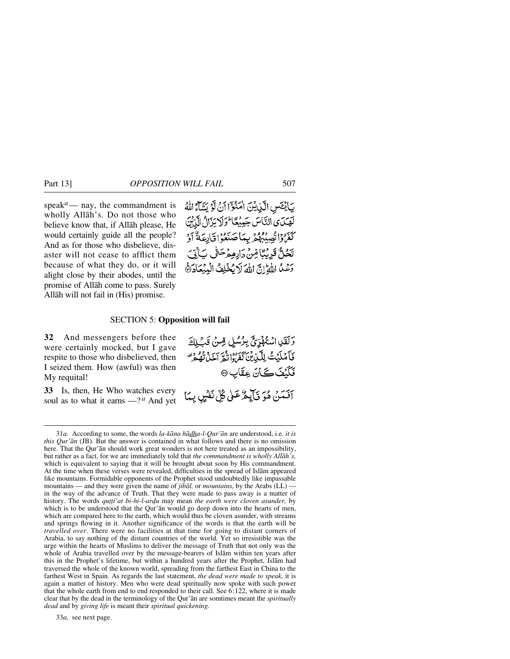speak<sup> $a$ </sup>— nay, the commandment is wholly Allåh's. Do not those who believe know that, if Allåh please, He would certainly guide all the people? And as for those who disbelieve, disaster will not cease to afflict them because of what they do, or it will alight close by their abodes, until the promise of Allåh come to pass. Surely Allåh will not fail in (His) promise.



#### SECTION 5: **Opposition will fail**

**32** And messengers before thee were certainly mocked, but I gave respite to those who disbelieved, then I seized them. How (awful) was then My requital!

**33** Is, then, He Who watches every soul as to what it earns —? *<sup>a</sup>* And yet وَلَقَيْبِ اسْتُهْذِجَ بِرُسُلِ قِسْنُ قَبْلِكَ فَأَصْلَيْتُ لِلَّكْبِيِّيْنَ كَفَرُوا تَذَكَّرَ أَخَبَاتُهُمْ ۖ فَكَيۡفَ كَانَ عِقَابٍ ۞

آفَمَنْ هُوَ تَأْلِيمٌ عَلَىٰ كُلِّ نَفْسٍ بِمَا

<sup>31</sup>*a.* According to some, the words *la-kåna hådha-l-Qur'ån* are understood, i.e. *it is this Qur'ån* (JB). But the answer is contained in what follows and there is no omission here. That the Qur'ån should work great wonders is not here treated as an impossibility, but rather as a fact, for we are immediately told that *the commandment is wholly Allåh's,* which is equivalent to saying that it will be brought about soon by His commandment. At the time when these verses were revealed, difficulties in the spread of Islåm appeared like mountains. Formidable opponents of the Prophet stood undoubtedly like impassable mountains — and they were given the name of *jibål,* or *mountains,* by the Arabs (LL) in the way of the advance of Truth. That they were made to pass away is a matter of history. The words *qu*tti'at bi-hi-l-ardu may mean the earth were cloven asunder, by which is to be understood that the Qur'ån would go deep down into the hearts of men, which are compared here to the earth, which would thus be cloven asunder, with streams and springs flowing in it. Another significance of the words is that the earth will be *travelled over*. There were no facilities at that time for going to distant corners of Arabia, to say nothing of the distant countries of the world. Yet so irresistible was the urge within the hearts of Muslims to deliver the message of Truth that not only was the whole of Arabia travelled over by the message-bearers of Islåm within ten years after this in the Prophet's lifetime, but within a hundred years after the Prophet, Islåm had traversed the whole of the known world, spreading from the farthest East in China to the farthest West in Spain. As regards the last statement, *the dead were made to speak,* it is again a matter of history. Men who were dead spiritually now spoke with such power that the whole earth from end to end responded to their call. See 6:122, where it is made clear that by the dead in the terminology of the Qur'ån are somtimes meant the *spiritually dead* and by *giving life* is meant their *spiritual quickening*.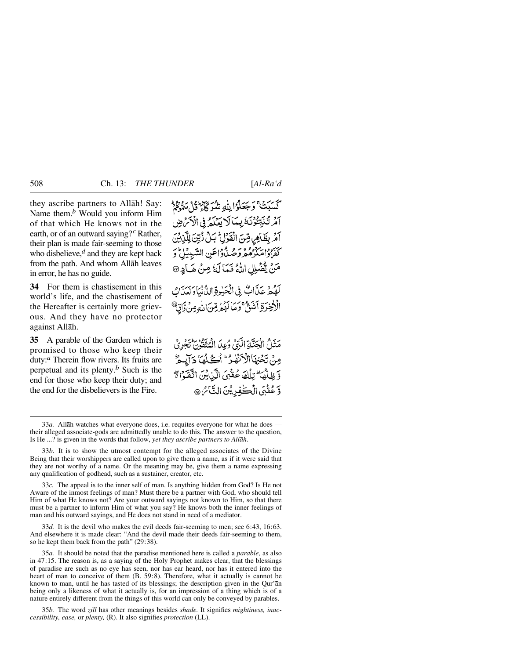they ascribe partners to Allåh! Say: Name them.*<sup>b</sup>* Would you inform Him of that which He knows not in the earth, or of an outward saying?*<sup>c</sup>* Rather, their plan is made fair-seeming to those who disbelieve,*<sup>d</sup>* and they are kept back from the path. And whom Allåh leaves in error, he has no guide.

**34** For them is chastisement in this world's life, and the chastisement of the Hereafter is certainly more grievous. And they have no protector against Allåh.

**35** A parable of the Garden which is promised to those who keep their duty:*<sup>a</sup>* Therein flow rivers. Its fruits are perpetual and its plenty.*<sup>b</sup>* Such is the end for those who keep their duty; and the end for the disbelievers is the Fire.

كَسَبَتْ وَجَعَلُوۡۤا لِلَّهِ شَرْكَآءٌ قُلْ سَوَّوۡ ۚ أَمَرَ تُنَبِّعُوْنَهُ بِمَالًا يَعْلَمُ فِي الْأَمْ ضِ آمَرِ بِظَاهِرِ مِّنَ الْقَوْلِ بِّلْ زُيِّنَ لِلَّذِيْنَ كَفَرْدُاهَكُرْهُمْ وَصُدٌّ دَاعَينِ السَّبِيبُ ۖ وَ مَنْ يَثْنَبِلِ اللَّهُ فَيَا لَهُ مِنْ هَبَادِ @

لَهُمْ عَذَاتٌ فِي الْحَيْوَةِ الدُّّنْيَاوَكِينَاكَ الْأَخِرَةِ أَشَنَّ ۚ وَمَا لَهُمْ مِّنَ اللّٰهِ مِنْ وَاقِ ۗ

مَثَلٌ الْجَنَّةِ الَّذِيْ وُعِدَ الْمُتَقَوِّنَ تَجْرِيْ مِنْ تَجْتِهَاْالْدَنْفِيرُ ۖ أَكْمَلْهَا دَآيِيمٌ وَّ ظِلْهَا ۖ تِلْكَ عُفْبَى الَّذِيْنَ اتَّقَوَّا رَّ وَّعُقْبَى الْڪْفِدِيْنَ التَّائِنِ @

33*c.* The appeal is to the inner self of man. Is anything hidden from God? Is He not Aware of the inmost feelings of man? Must there be a partner with God, who should tell Him of what He knows not? Are your outward sayings not known to Him, so that there must be a partner to inform Him of what you say? He knows both the inner feelings of man and his outward sayings, and He does not stand in need of a mediator.

33*d.* It is the devil who makes the evil deeds fair-seeming to men; see 6:43, 16:63. And elsewhere it is made clear: "And the devil made their deeds fair-seeming to them, so he kept them back from the path" (29:38).

35*a.* It should be noted that the paradise mentioned here is called a *parable,* as also in 47:15. The reason is, as a saying of the Holy Prophet makes clear, that the blessings of paradise are such as no eye has seen, nor has ear heard, nor has it entered into the heart of man to conceive of them (B. 59:8). Therefore, what it actually is cannot be known to man, until he has tasted of its blessings; the description given in the Qur'ån being only a likeness of what it actually is, for an impression of a thing which is of a nature entirely different from the things of this world can only be conveyed by parables.

35*b*. The word *zill* has other meanings besides *shade*. It signifies *mightiness, inaccessibility, ease,* or *plenty,* (R). It also signifies *protection* (LL).

<sup>33</sup>*a.* Allåh watches what everyone does, i.e. requites everyone for what he does their alleged associate-gods are admittedly unable to do this. The answer to the question, Is He ...? is given in the words that follow, *yet they ascribe partners to Allåh*.

<sup>33</sup>*b.* It is to show the utmost contempt for the alleged associates of the Divine Being that their worshippers are called upon to give them a name, as if it were said that they are not worthy of a name. Or the meaning may be, give them a name expressing any qualification of godhead, such as a sustainer, creator, etc.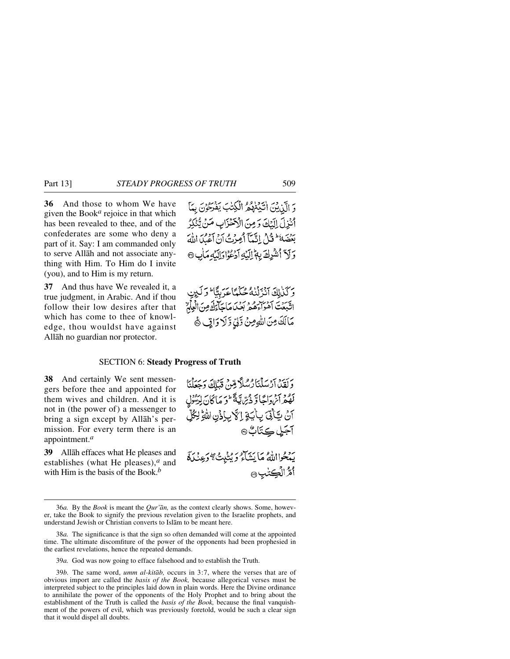**36** And those to whom We have given the Book*<sup>a</sup>* rejoice in that which has been revealed to thee, and of the confederates are some who deny a part of it. Say: I am commanded only to serve Allåh and not associate anything with Him. To Him do I invite (you), and to Him is my return.

**37** And thus have We revealed it, a true judgment, in Arabic. And if thou follow their low desires after that which has come to thee of knowledge, thou wouldst have against Allåh no guardian nor protector.



وكذاك انزلنه حُكْمًاعَرَبِيًّا وَلَيِنِ اتَّبِعَتَ أَهْوَاءَهُمْ بَعْدَ، مَاجَاءَكَ مِنَ الْعِلْمُ مَالَكَ مِنَ اللَّهِ مِنْ دَّلِّيٍّ وَّلَا دَاتِي ﴾

### SECTION 6: **Steady Progress of Truth**

**38** And certainly We sent messengers before thee and appointed for them wives and children. And it is not in (the power of) a messenger to bring a sign except by Allåh's permission. For every term there is an appointment.*<sup>a</sup>*

**39** Allåh effaces what He pleases and establishes (what He pleases),*<sup>a</sup>* and with Him is the basis of the Book.*<sup>b</sup>*

وَلَقَلْ آرْسَلْنَارُسُلًا مِّنْ قَيْلِكَ وَجَعَلْنَا كَفَّعْرَانَ دَاجَاً وَ دُبِّرَاتِيَةً ۖ وَ مَا كَانَ لِدَّمِّوْلِ آنُ ڀَأَنِّيَ بِأَيَةٍ إِلَّا بِإِذْنِ اللَّهِ لِكُلِّ آجَلِ ڪِتَابٌ۞

يَهْجُوااللَّهُ مَا يَنْتَأْءُ وَيُنْبِبُ ﴾ دَعِنْدَةً ٲۿؚٞ۠ٳڶڲؾڛۿ

39*a.* God was now going to efface falsehood and to establish the Truth.

<sup>36</sup>*a.* By the *Book* is meant the *Qur'ån,* as the context clearly shows. Some, however, take the Book to signify the previous revelation given to the Israelite prophets, and understand Jewish or Christian converts to Islåm to be meant here.

<sup>38</sup>*a.* The significance is that the sign so often demanded will come at the appointed time. The ultimate discomfiture of the power of the opponents had been prophesied in the earliest revelations, hence the repeated demands.

<sup>39</sup>*b.* The same word, *umm al-kitåb,* occurs in 3:7, where the verses that are of obvious import are called the *basis of the Book,* because allegorical verses must be interpreted subject to the principles laid down in plain words. Here the Divine ordinance to annihilate the power of the opponents of the Holy Prophet and to bring about the establishment of the Truth is called the *basis of the Book,* because the final vanquishment of the powers of evil, which was previously foretold, would be such a clear sign that it would dispel all doubts.